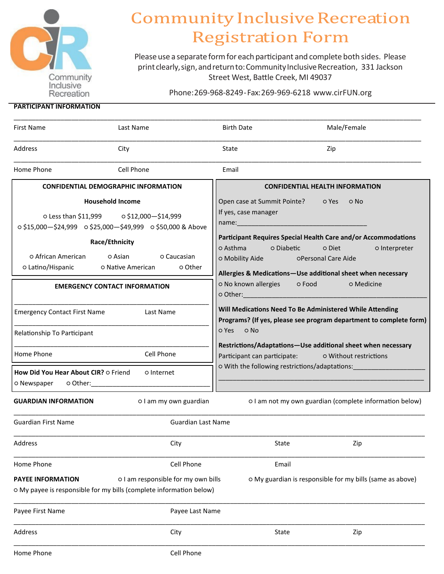

# **Community Inclusive Recreation Registration Form**

Please use a separate form for each participant and complete both sides. Please print clearly, sign, and return to: Community Inclusive Recreation, 331 Jackson Street West, Battle Creek, MI 49037

Phone:269-968-8249-Fax:269-969-6218 www.cirFUN.org

# **PARTICIPANT INFORMATION**

| <b>First Name</b>                                                                                                                                                                                                                                                              | Last Name                                                                                                                                                                                                                                                                                                          | <b>Birth Date</b>                                         | Male/Female                                                                                                                                                                                                                                                                                                                                                                                                                                                                                                                                                                                                                             |
|--------------------------------------------------------------------------------------------------------------------------------------------------------------------------------------------------------------------------------------------------------------------------------|--------------------------------------------------------------------------------------------------------------------------------------------------------------------------------------------------------------------------------------------------------------------------------------------------------------------|-----------------------------------------------------------|-----------------------------------------------------------------------------------------------------------------------------------------------------------------------------------------------------------------------------------------------------------------------------------------------------------------------------------------------------------------------------------------------------------------------------------------------------------------------------------------------------------------------------------------------------------------------------------------------------------------------------------------|
| Address                                                                                                                                                                                                                                                                        | City                                                                                                                                                                                                                                                                                                               | State                                                     | Zip                                                                                                                                                                                                                                                                                                                                                                                                                                                                                                                                                                                                                                     |
| Home Phone                                                                                                                                                                                                                                                                     | Cell Phone                                                                                                                                                                                                                                                                                                         | Email                                                     |                                                                                                                                                                                                                                                                                                                                                                                                                                                                                                                                                                                                                                         |
| <b>CONFIDENTIAL DEMOGRAPHIC INFORMATION</b>                                                                                                                                                                                                                                    |                                                                                                                                                                                                                                                                                                                    | <b>CONFIDENTIAL HEALTH INFORMATION</b>                    |                                                                                                                                                                                                                                                                                                                                                                                                                                                                                                                                                                                                                                         |
| o Latino/Hispanic<br><b>Emergency Contact First Name</b><br>Relationship To Participant<br>Home Phone<br>How Did You Hear About CIR? o Friend<br>o Newspaper<br>o Other: when the control of the control of the control of the control of the control of the control of the co | <b>Household Income</b><br>o Less than \$11,999 o \$12,000 - \$14,999<br>o \$15,000-\$24,999 o \$25,000-\$49,999 o \$50,000 & Above<br>Race/Ethnicity<br>O African American (O Asian (O Caucasian<br>o Other<br>o Native American<br><b>EMERGENCY CONTACT INFORMATION</b><br>Last Name<br>Cell Phone<br>o Internet | If yes, case manager<br>o Asthma o Diabetic<br>O Yes O No | Open case at Summit Pointe? o Yes<br>o No<br>Participant Requires Special Health Care and/or Accommodations<br>o Diet<br>o Interpreter<br>O Mobility Aide <b>Deeman</b> OPersonal Care Aide<br>Allergies & Medications-Use additional sheet when necessary<br>o No known allergies o Food<br>o Medicine<br>Will Medications Need To Be Administered While Attending<br>Programs? (If yes, please see program department to complete form)<br>Restrictions/Adaptations-Use additional sheet when necessary<br>Participant can participate: 0 Without restrictions<br>O With the following restrictions/adaptations: [1995] COMPTID: 2014 |
| <b>GUARDIAN INFORMATION</b>                                                                                                                                                                                                                                                    | o I am my own guardian                                                                                                                                                                                                                                                                                             |                                                           | o I am not my own guardian (complete information below)                                                                                                                                                                                                                                                                                                                                                                                                                                                                                                                                                                                 |
| <b>Guardian First Name</b>                                                                                                                                                                                                                                                     | <b>Guardian Last Name</b>                                                                                                                                                                                                                                                                                          |                                                           |                                                                                                                                                                                                                                                                                                                                                                                                                                                                                                                                                                                                                                         |
| Address                                                                                                                                                                                                                                                                        | City                                                                                                                                                                                                                                                                                                               |                                                           | State<br>Zip                                                                                                                                                                                                                                                                                                                                                                                                                                                                                                                                                                                                                            |
| Home Phone                                                                                                                                                                                                                                                                     | Cell Phone                                                                                                                                                                                                                                                                                                         |                                                           | Email                                                                                                                                                                                                                                                                                                                                                                                                                                                                                                                                                                                                                                   |
| <b>PAYEE INFORMATION</b>                                                                                                                                                                                                                                                       | o I am responsible for my own bills<br>o My payee is responsible for my bills (complete information below)                                                                                                                                                                                                         |                                                           | o My guardian is responsible for my bills (same as above)                                                                                                                                                                                                                                                                                                                                                                                                                                                                                                                                                                               |
| Payee First Name                                                                                                                                                                                                                                                               | Payee Last Name                                                                                                                                                                                                                                                                                                    |                                                           |                                                                                                                                                                                                                                                                                                                                                                                                                                                                                                                                                                                                                                         |
| Address                                                                                                                                                                                                                                                                        | City                                                                                                                                                                                                                                                                                                               |                                                           | State<br>Zip                                                                                                                                                                                                                                                                                                                                                                                                                                                                                                                                                                                                                            |
| Home Phone                                                                                                                                                                                                                                                                     | Cell Phone                                                                                                                                                                                                                                                                                                         |                                                           |                                                                                                                                                                                                                                                                                                                                                                                                                                                                                                                                                                                                                                         |